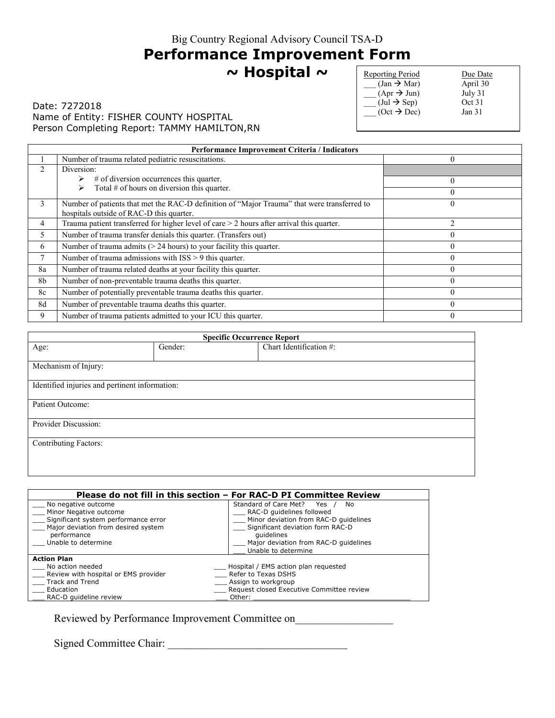# **Performance Improvement Form**

### **~ Hospital ~**

### Date: 7272018 Name of Entity: FISHER COUNTY HOSPITAL Person Completing Report: TAMMY HAMILTON, RN

| <b>Reporting Period</b>                | Due Date          |
|----------------------------------------|-------------------|
| $\text{(Jan)} \rightarrow \text{Mar)}$ | April 30          |
| $(Apr \rightarrow Jun)$                | July 31           |
| $(\text{Jul} \rightarrow \text{Sep})$  | Oct 31            |
| $(Oct \rightarrow Dec)$                | Jan <sub>31</sub> |
|                                        |                   |

|                | <b>Performance Improvement Criteria / Indicators</b>                                                                                    |                  |  |
|----------------|-----------------------------------------------------------------------------------------------------------------------------------------|------------------|--|
|                | Number of trauma related pediatric resuscitations.                                                                                      | $\boldsymbol{0}$ |  |
|                | Diversion:                                                                                                                              |                  |  |
|                | $#$ of diversion occurrences this quarter.                                                                                              | $\theta$         |  |
|                | Total $#$ of hours on diversion this quarter.<br>⋗                                                                                      | 0                |  |
| 3              | Number of patients that met the RAC-D definition of "Major Trauma" that were transferred to<br>hospitals outside of RAC-D this quarter. | 0                |  |
| 4              | Trauma patient transferred for higher level of care $>$ 2 hours after arrival this quarter.                                             | $\mathfrak{D}$   |  |
| 5              | Number of trauma transfer denials this quarter. (Transfers out)                                                                         | $\theta$         |  |
| 6              | Number of trauma admits $(> 24$ hours) to your facility this quarter.                                                                   | $\Omega$         |  |
| 7              | Number of trauma admissions with ISS > 9 this quarter.                                                                                  |                  |  |
| 8a             | Number of trauma related deaths at your facility this quarter.                                                                          | $\theta$         |  |
| 8 <sub>b</sub> | Number of non-preventable trauma deaths this quarter.                                                                                   | $\theta$         |  |
| 8c             | Number of potentially preventable trauma deaths this quarter.                                                                           | 0                |  |
| 8d             | Number of preventable trauma deaths this quarter.                                                                                       | $\Omega$         |  |
| 9              | Number of trauma patients admitted to your ICU this quarter.                                                                            | $\theta$         |  |

| <b>Specific Occurrence Report</b>              |         |                         |
|------------------------------------------------|---------|-------------------------|
| Age:                                           | Gender: | Chart Identification #: |
| Mechanism of Injury:                           |         |                         |
| Identified injuries and pertinent information: |         |                         |
| Patient Outcome:                               |         |                         |
| Provider Discussion:                           |         |                         |
| <b>Contributing Factors:</b>                   |         |                         |
|                                                |         |                         |

| Please do not fill in this section – For RAC-D PI Committee Review |                                           |  |
|--------------------------------------------------------------------|-------------------------------------------|--|
|                                                                    |                                           |  |
| No negative outcome                                                | Standard of Care Met? Yes<br>No           |  |
| Minor Negative outcome                                             | RAC-D quidelines followed                 |  |
| Significant system performance error                               | Minor deviation from RAC-D quidelines     |  |
| Major deviation from desired system                                | Significant deviation form RAC-D          |  |
| performance                                                        | quidelines                                |  |
| Unable to determine                                                | Major deviation from RAC-D quidelines     |  |
|                                                                    | Unable to determine                       |  |
| <b>Action Plan</b>                                                 |                                           |  |
| No action needed                                                   | Hospital / EMS action plan requested      |  |
| Review with hospital or EMS provider                               | Refer to Texas DSHS                       |  |
| Track and Trend                                                    | Assign to workgroup                       |  |
| Education                                                          | Request closed Executive Committee review |  |
| RAC-D quideline review                                             | Other:                                    |  |

Reviewed by Performance Improvement Committee on\_\_\_\_\_\_\_\_\_\_\_\_\_\_\_\_\_\_\_\_\_\_\_\_\_\_\_\_\_\_\_\_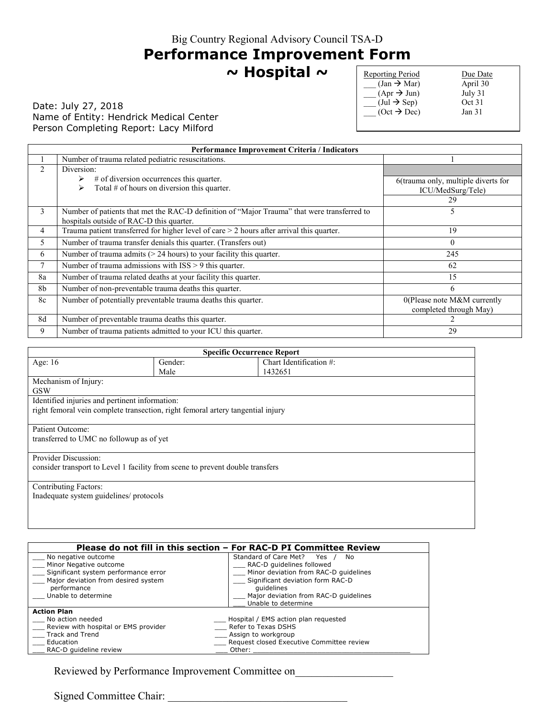### **Performance Improvement Form**

**~ Hospital ~** 

### Date: July 27, 2018 Name of Entity: Hendrick Medical Center Person Completing Report: Lacy Milford

| <b>Reporting Period</b>               | Due Date          |
|---------------------------------------|-------------------|
| $(Jan \rightarrow Mar)$               | April 30          |
| $(Apr \rightarrow Jun)$               | July 31           |
| $(\text{Jul} \rightarrow \text{Sep})$ | Oct 31            |
| $(Oct \rightarrow Dec)$               | Jan <sub>31</sub> |
|                                       |                   |

| Performance Improvement Criteria / Indicators |                                                                                                                                         |                                                          |
|-----------------------------------------------|-----------------------------------------------------------------------------------------------------------------------------------------|----------------------------------------------------------|
|                                               | Number of trauma related pediatric resuscitations.                                                                                      |                                                          |
| 2                                             | Diversion:                                                                                                                              |                                                          |
|                                               | $#$ of diversion occurrences this quarter.<br>➤<br>Total $#$ of hours on diversion this quarter.<br>⋗                                   | 6(trauma only, multiple diverts for<br>ICU/MedSurg/Tele) |
|                                               |                                                                                                                                         | 29                                                       |
| 3                                             | Number of patients that met the RAC-D definition of "Major Trauma" that were transferred to<br>hospitals outside of RAC-D this quarter. | 5                                                        |
| 4                                             | Trauma patient transferred for higher level of care $>$ 2 hours after arrival this quarter.                                             | 19                                                       |
| 5                                             | Number of trauma transfer denials this quarter. (Transfers out)                                                                         | $\theta$                                                 |
| 6                                             | Number of trauma admits $(> 24$ hours) to your facility this quarter.                                                                   | 245                                                      |
| 7                                             | Number of trauma admissions with ISS > 9 this quarter.                                                                                  | 62                                                       |
| 8a                                            | Number of trauma related deaths at your facility this quarter.                                                                          | 15                                                       |
| 8b                                            | Number of non-preventable trauma deaths this quarter.                                                                                   | 6                                                        |
| 8c                                            | Number of potentially preventable trauma deaths this quarter.                                                                           | 0(Please note M&M currently<br>completed through May)    |
| 8d                                            | Number of preventable trauma deaths this quarter.                                                                                       |                                                          |
| 9                                             | Number of trauma patients admitted to your ICU this quarter.                                                                            | 29                                                       |

| <b>Specific Occurrence Report</b>                                               |         |                         |
|---------------------------------------------------------------------------------|---------|-------------------------|
| Age: $16$                                                                       | Gender: | Chart Identification #: |
|                                                                                 | Male    | 1432651                 |
| Mechanism of Injury:                                                            |         |                         |
| <b>GSW</b>                                                                      |         |                         |
| Identified injuries and pertinent information:                                  |         |                         |
| right femoral vein complete transection, right femoral artery tangential injury |         |                         |
|                                                                                 |         |                         |
| Patient Outcome:                                                                |         |                         |
| transferred to UMC no followup as of yet                                        |         |                         |
|                                                                                 |         |                         |
| Provider Discussion:                                                            |         |                         |
| consider transport to Level 1 facility from scene to prevent double transfers   |         |                         |
|                                                                                 |         |                         |
| <b>Contributing Factors:</b>                                                    |         |                         |
| Inadequate system guidelines/ protocols                                         |         |                         |
|                                                                                 |         |                         |
|                                                                                 |         |                         |

|                                      | Please do not fill in this section – For RAC-D PI Committee Review |
|--------------------------------------|--------------------------------------------------------------------|
| No negative outcome                  | Standard of Care Met? Yes<br>No.                                   |
| Minor Negative outcome               | RAC-D guidelines followed                                          |
| Significant system performance error | Minor deviation from RAC-D quidelines                              |
| Major deviation from desired system  | Significant deviation form RAC-D                                   |
| performance                          | quidelines                                                         |
| Unable to determine                  | Major deviation from RAC-D quidelines                              |
|                                      | Unable to determine                                                |
| <b>Action Plan</b>                   |                                                                    |
| No action needed                     | Hospital / EMS action plan requested                               |
| Review with hospital or EMS provider | Refer to Texas DSHS                                                |
| Track and Trend                      | Assign to workgroup                                                |
| Education                            | Request closed Executive Committee review                          |
| RAC-D quideline review               | Other:                                                             |

Reviewed by Performance Improvement Committee on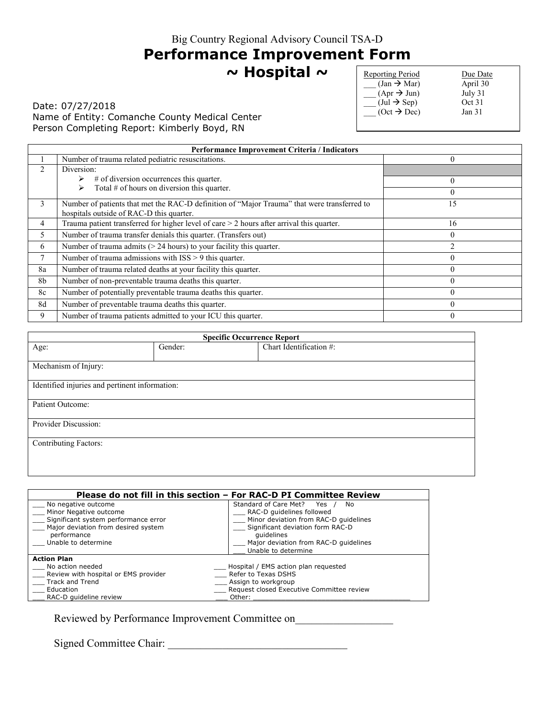# **Performance Improvement Form**

**~ Hospital ~** 

### Date: 07/27/2018 Name of Entity: Comanche County Medical Center Person Completing Report: Kimberly Boyd, RN

| <b>Reporting Period</b>               | Due Date          |
|---------------------------------------|-------------------|
| $\text{(Jan} \rightarrow \text{Mar})$ | April 30          |
| $(Apr \rightarrow Jun)$               | July 31           |
| $(\text{Jul} \rightarrow \text{Sep})$ | Oct 31            |
| $(Oct \rightarrow Dec)$               | Jan <sub>31</sub> |
|                                       |                   |

| Performance Improvement Criteria / Indicators |                                                                                                                                         |                |
|-----------------------------------------------|-----------------------------------------------------------------------------------------------------------------------------------------|----------------|
|                                               | Number of trauma related pediatric resuscitations.                                                                                      | $\theta$       |
|                                               | Diversion:                                                                                                                              |                |
|                                               | $#$ of diversion occurrences this quarter.                                                                                              | $\Omega$       |
|                                               | Total $#$ of hours on diversion this quarter.<br>⋗                                                                                      | $\theta$       |
| 3                                             | Number of patients that met the RAC-D definition of "Major Trauma" that were transferred to<br>hospitals outside of RAC-D this quarter. | 15             |
| 4                                             | Trauma patient transferred for higher level of care $>$ 2 hours after arrival this quarter.                                             | 16             |
| 5                                             | Number of trauma transfer denials this quarter. (Transfers out)                                                                         | $\theta$       |
| 6                                             | Number of trauma admits $(> 24$ hours) to your facility this quarter.                                                                   | $\mathfrak{D}$ |
| 7                                             | Number of trauma admissions with $ISS > 9$ this quarter.                                                                                | $\theta$       |
| 8a                                            | Number of trauma related deaths at your facility this quarter.                                                                          | $\theta$       |
| 8b                                            | Number of non-preventable trauma deaths this quarter.                                                                                   | $\theta$       |
| 8c                                            | Number of potentially preventable trauma deaths this quarter.                                                                           | $\Omega$       |
| 8d                                            | Number of preventable trauma deaths this quarter.                                                                                       | $\Omega$       |
| 9                                             | Number of trauma patients admitted to your ICU this quarter.                                                                            | $\theta$       |

| <b>Specific Occurrence Report</b>              |         |                         |  |
|------------------------------------------------|---------|-------------------------|--|
| Age:                                           | Gender: | Chart Identification #: |  |
| Mechanism of Injury:                           |         |                         |  |
| Identified injuries and pertinent information: |         |                         |  |
| Patient Outcome:                               |         |                         |  |
| Provider Discussion:                           |         |                         |  |
| <b>Contributing Factors:</b>                   |         |                         |  |
|                                                |         |                         |  |

|                                                                                                                                             | Please do not fill in this section – For RAC-D PI Committee Review                                                                                      |
|---------------------------------------------------------------------------------------------------------------------------------------------|---------------------------------------------------------------------------------------------------------------------------------------------------------|
| No negative outcome<br>Minor Negative outcome<br>Significant system performance error<br>Major deviation from desired system<br>performance | Standard of Care Met? Yes<br>No<br>RAC-D guidelines followed<br>Minor deviation from RAC-D quidelines<br>Significant deviation form RAC-D<br>quidelines |
| Unable to determine                                                                                                                         | Major deviation from RAC-D quidelines<br>Unable to determine                                                                                            |
| <b>Action Plan</b>                                                                                                                          |                                                                                                                                                         |
| No action needed                                                                                                                            | Hospital / EMS action plan requested                                                                                                                    |
| Review with hospital or EMS provider                                                                                                        | Refer to Texas DSHS                                                                                                                                     |
| Track and Trend                                                                                                                             | _ Assign to workgroup                                                                                                                                   |
| Education                                                                                                                                   | Request closed Executive Committee review                                                                                                               |
| RAC-D quideline review                                                                                                                      | Other:                                                                                                                                                  |

Reviewed by Performance Improvement Committee on\_\_\_\_\_\_\_\_\_\_\_\_\_\_\_\_\_\_\_\_\_\_\_\_\_\_\_\_\_\_\_\_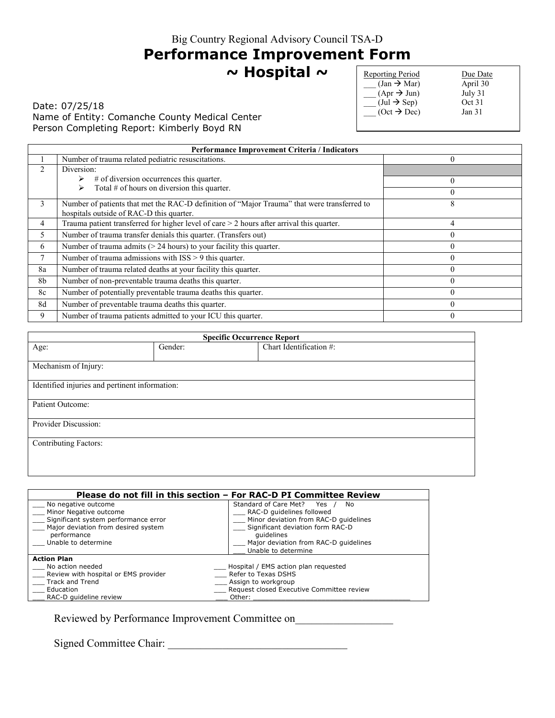# **Performance Improvement Form**

**~ Hospital ~** 

Date: 07/25/18 Name of Entity: Comanche County Medical Center Person Completing Report: Kimberly Boyd RN

| <b>Reporting Period</b>               | Due Date |
|---------------------------------------|----------|
| $(Jan \rightarrow Mar)$               | April 30 |
| $(Apr \rightarrow Jun)$               | July 31  |
| $(\text{Jul} \rightarrow \text{Sep})$ | Oct 31   |
| $(Oct \rightarrow Dec)$               | Jan 31   |
|                                       |          |

| Performance Improvement Criteria / Indicators |                                                                                                                                         |          |
|-----------------------------------------------|-----------------------------------------------------------------------------------------------------------------------------------------|----------|
|                                               | Number of trauma related pediatric resuscitations.                                                                                      |          |
|                                               | Diversion:                                                                                                                              |          |
|                                               | $#$ of diversion occurrences this quarter.                                                                                              | $\Omega$ |
|                                               | Total $#$ of hours on diversion this quarter.<br>⋗                                                                                      | 0        |
| 3                                             | Number of patients that met the RAC-D definition of "Major Trauma" that were transferred to<br>hospitals outside of RAC-D this quarter. | 8        |
| 4                                             | Trauma patient transferred for higher level of care $>$ 2 hours after arrival this quarter.                                             | 4        |
| 5                                             | Number of trauma transfer denials this quarter. (Transfers out)                                                                         | $\theta$ |
| 6                                             | Number of trauma admits $(> 24$ hours) to your facility this quarter.                                                                   | 0        |
| 7                                             | Number of trauma admissions with ISS > 9 this quarter.                                                                                  | $\theta$ |
| 8a                                            | Number of trauma related deaths at your facility this quarter.                                                                          | $\Omega$ |
| 8b                                            | Number of non-preventable trauma deaths this quarter.                                                                                   |          |
| 8c                                            | Number of potentially preventable trauma deaths this quarter.                                                                           | $\Omega$ |
| 8d                                            | Number of preventable trauma deaths this quarter.                                                                                       | 0        |
| 9                                             | Number of trauma patients admitted to your ICU this quarter.                                                                            | 0        |

| <b>Specific Occurrence Report</b>              |         |                         |
|------------------------------------------------|---------|-------------------------|
| Age:                                           | Gender: | Chart Identification #: |
| Mechanism of Injury:                           |         |                         |
| Identified injuries and pertinent information: |         |                         |
| Patient Outcome:                               |         |                         |
| Provider Discussion:                           |         |                         |
| <b>Contributing Factors:</b>                   |         |                         |
|                                                |         |                         |

|                                      | Please do not fill in this section – For RAC-D PI Committee Review |
|--------------------------------------|--------------------------------------------------------------------|
| No negative outcome                  | Standard of Care Met? Yes<br>No.                                   |
| Minor Negative outcome               | RAC-D quidelines followed                                          |
| Significant system performance error | Minor deviation from RAC-D quidelines                              |
| Major deviation from desired system  | Significant deviation form RAC-D                                   |
| performance                          | quidelines                                                         |
| Unable to determine                  | Major deviation from RAC-D quidelines                              |
|                                      | Unable to determine                                                |
| <b>Action Plan</b>                   |                                                                    |
| No action needed                     | Hospital / EMS action plan requested                               |
| Review with hospital or EMS provider | Refer to Texas DSHS                                                |
| Track and Trend                      | Assign to workgroup                                                |
| Education                            | Request closed Executive Committee review                          |
| RAC-D quideline review               | Other:                                                             |

Reviewed by Performance Improvement Committee on\_\_\_\_\_\_\_\_\_\_\_\_\_\_\_\_\_\_\_\_\_\_\_\_\_\_\_\_\_\_\_\_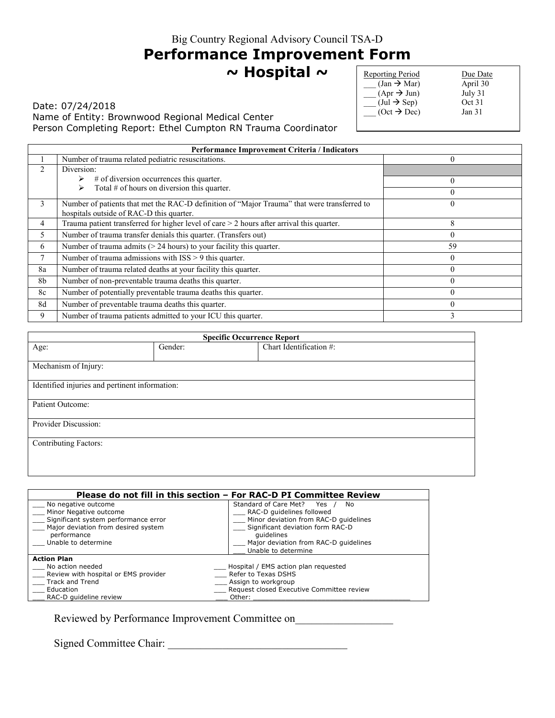# **Performance Improvement Form**

**~ Hospital ~** 

Date: 07/24/2018 Name of Entity: Brownwood Regional Medical Center Person Completing Report: Ethel Cumpton RN Trauma Coordinator

| <b>Reporting Period</b>               | Due Date          |
|---------------------------------------|-------------------|
| $(Jan \rightarrow Mar)$               | April 30          |
| $(Apr \rightarrow Jun)$               | July 31           |
| $(\text{Jul} \rightarrow \text{Sep})$ | Oct 31            |
| $(Oct \rightarrow Dec)$               | Jan <sub>31</sub> |
|                                       |                   |

| Performance Improvement Criteria / Indicators |                                                                                                                                         |          |
|-----------------------------------------------|-----------------------------------------------------------------------------------------------------------------------------------------|----------|
|                                               | Number of trauma related pediatric resuscitations.                                                                                      | $\theta$ |
|                                               | Diversion:                                                                                                                              |          |
|                                               | $#$ of diversion occurrences this quarter.                                                                                              | $\Omega$ |
|                                               | Total $#$ of hours on diversion this quarter.                                                                                           | $\theta$ |
| 3                                             | Number of patients that met the RAC-D definition of "Major Trauma" that were transferred to<br>hospitals outside of RAC-D this quarter. | $\theta$ |
| 4                                             | Trauma patient transferred for higher level of care $>$ 2 hours after arrival this quarter.                                             | 8        |
| 5                                             | Number of trauma transfer denials this quarter. (Transfers out)                                                                         | $\theta$ |
| 6                                             | Number of trauma admits $(> 24$ hours) to your facility this quarter.                                                                   | 59       |
|                                               | Number of trauma admissions with ISS > 9 this quarter.                                                                                  | $\theta$ |
| 8a                                            | Number of trauma related deaths at your facility this quarter.                                                                          | $\theta$ |
| 8b                                            | Number of non-preventable trauma deaths this quarter.                                                                                   | $\theta$ |
| 8c                                            | Number of potentially preventable trauma deaths this quarter.                                                                           | $\Omega$ |
| 8d                                            | Number of preventable trauma deaths this quarter.                                                                                       | $\theta$ |
| 9                                             | Number of trauma patients admitted to your ICU this quarter.                                                                            | 3        |

| <b>Specific Occurrence Report</b>              |         |                         |  |
|------------------------------------------------|---------|-------------------------|--|
| Age:                                           | Gender: | Chart Identification #: |  |
| Mechanism of Injury:                           |         |                         |  |
| Identified injuries and pertinent information: |         |                         |  |
| Patient Outcome:                               |         |                         |  |
| Provider Discussion:                           |         |                         |  |
| <b>Contributing Factors:</b>                   |         |                         |  |
|                                                |         |                         |  |

|                                      | Please do not fill in this section – For RAC-D PI Committee Review |  |
|--------------------------------------|--------------------------------------------------------------------|--|
| No negative outcome                  | Standard of Care Met? Yes<br>No.                                   |  |
| Minor Negative outcome               | RAC-D quidelines followed                                          |  |
| Significant system performance error | Minor deviation from RAC-D quidelines                              |  |
| Major deviation from desired system  | Significant deviation form RAC-D                                   |  |
| performance                          | quidelines                                                         |  |
| Unable to determine                  | Major deviation from RAC-D quidelines                              |  |
|                                      | Unable to determine                                                |  |
| <b>Action Plan</b>                   |                                                                    |  |
| No action needed                     | _ Hospital / EMS action plan requested                             |  |
| Review with hospital or EMS provider | Refer to Texas DSHS                                                |  |
| Track and Trend                      | Assign to workgroup                                                |  |
| Education                            | Request closed Executive Committee review                          |  |
| RAC-D quideline review               | Other:                                                             |  |

Reviewed by Performance Improvement Committee on\_\_\_\_\_\_\_\_\_\_\_\_\_\_\_\_\_\_\_\_\_\_\_\_\_\_\_\_\_\_\_\_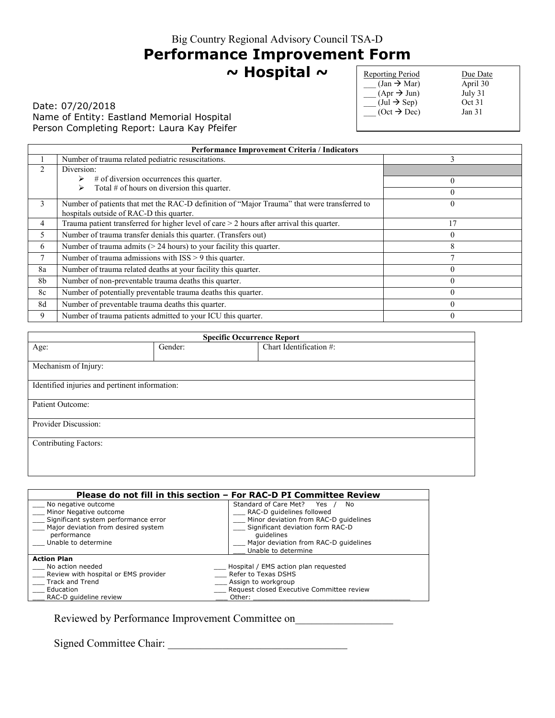# **Performance Improvement Form**

**~ Hospital ~** 

### Date: 07/20/2018 Name of Entity: Eastland Memorial Hospital Person Completing Report: Laura Kay Pfeifer

| <b>Reporting Period</b>               | Due Date          |
|---------------------------------------|-------------------|
| $(Jan \rightarrow Mar)$               | April 30          |
| $(Apr \rightarrow Jun)$               | July 31           |
| $(\text{Jul} \rightarrow \text{Sep})$ | Oct 31            |
| $(Oct \rightarrow Dec)$               | Jan <sub>31</sub> |
|                                       |                   |

| Performance Improvement Criteria / Indicators |                                                                                                                                         |          |
|-----------------------------------------------|-----------------------------------------------------------------------------------------------------------------------------------------|----------|
|                                               | Number of trauma related pediatric resuscitations.                                                                                      | 3        |
|                                               | Diversion:                                                                                                                              |          |
|                                               | # of diversion occurrences this quarter.                                                                                                | $\theta$ |
|                                               | Total $#$ of hours on diversion this quarter.                                                                                           |          |
| 3                                             | Number of patients that met the RAC-D definition of "Major Trauma" that were transferred to<br>hospitals outside of RAC-D this quarter. |          |
| 4                                             | Trauma patient transferred for higher level of care $>$ 2 hours after arrival this quarter.                                             | 17       |
| 5                                             | Number of trauma transfer denials this quarter. (Transfers out)                                                                         | $\Omega$ |
| 6                                             | Number of trauma admits $(> 24$ hours) to your facility this quarter.                                                                   | 8        |
| $\tau$                                        | Number of trauma admissions with $ISS > 9$ this quarter.                                                                                |          |
| 8a                                            | Number of trauma related deaths at your facility this quarter.                                                                          |          |
| 8 <sub>b</sub>                                | Number of non-preventable trauma deaths this quarter.                                                                                   |          |
| 8c                                            | Number of potentially preventable trauma deaths this quarter.                                                                           | $\Omega$ |
| 8d                                            | Number of preventable trauma deaths this quarter.                                                                                       |          |
| 9                                             | Number of trauma patients admitted to your ICU this quarter.                                                                            |          |

| <b>Specific Occurrence Report</b>              |         |                         |
|------------------------------------------------|---------|-------------------------|
| Age:                                           | Gender: | Chart Identification #: |
|                                                |         |                         |
| Mechanism of Injury:                           |         |                         |
| Identified injuries and pertinent information: |         |                         |
| Patient Outcome:                               |         |                         |
| Provider Discussion:                           |         |                         |
| <b>Contributing Factors:</b>                   |         |                         |
|                                                |         |                         |

|                                                                                                                                             | Please do not fill in this section – For RAC-D PI Committee Review                                                                                      |
|---------------------------------------------------------------------------------------------------------------------------------------------|---------------------------------------------------------------------------------------------------------------------------------------------------------|
| No negative outcome<br>Minor Negative outcome<br>Significant system performance error<br>Major deviation from desired system<br>performance | Standard of Care Met? Yes<br>No<br>RAC-D guidelines followed<br>Minor deviation from RAC-D quidelines<br>Significant deviation form RAC-D<br>quidelines |
| Unable to determine                                                                                                                         | Major deviation from RAC-D quidelines<br>Unable to determine                                                                                            |
| <b>Action Plan</b>                                                                                                                          |                                                                                                                                                         |
| No action needed                                                                                                                            | Hospital / EMS action plan requested                                                                                                                    |
| Review with hospital or EMS provider                                                                                                        | Refer to Texas DSHS                                                                                                                                     |
| Track and Trend                                                                                                                             | _ Assign to workgroup                                                                                                                                   |
| Education                                                                                                                                   | Request closed Executive Committee review                                                                                                               |
| RAC-D quideline review                                                                                                                      | Other:                                                                                                                                                  |

Reviewed by Performance Improvement Committee on\_\_\_\_\_\_\_\_\_\_\_\_\_\_\_\_\_\_\_\_\_\_\_\_\_\_\_\_\_\_\_\_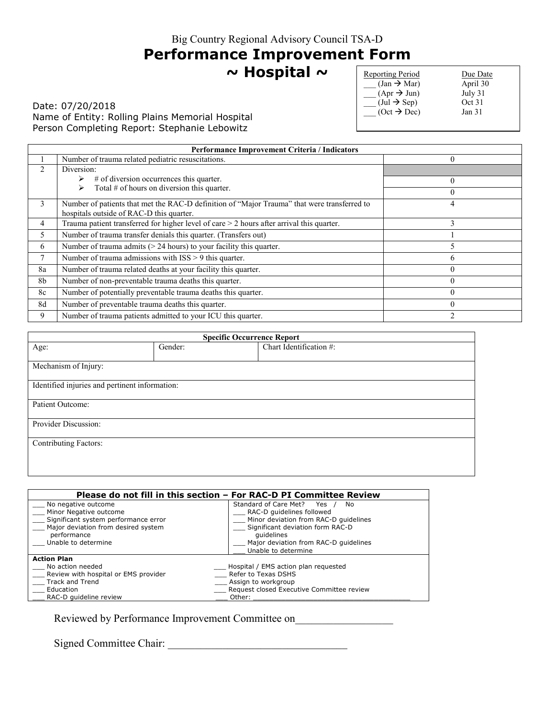# **Performance Improvement Form**

**~ Hospital ~** 

Date: 07/20/2018 Name of Entity: Rolling Plains Memorial Hospital Person Completing Report: Stephanie Lebowitz

| <b>Reporting Period</b>               | Due Date |
|---------------------------------------|----------|
| $\text{(Jan} \rightarrow \text{Mar})$ | April 30 |
| $(Apr \rightarrow Jun)$               | July 31  |
| $(\text{Jul} \rightarrow \text{Sep})$ | Oct 31   |
| $(Oct \rightarrow Dec)$               | Jan $31$ |
|                                       |          |

| Performance Improvement Criteria / Indicators |                                                                                                                                         |              |
|-----------------------------------------------|-----------------------------------------------------------------------------------------------------------------------------------------|--------------|
|                                               | Number of trauma related pediatric resuscitations.                                                                                      | $\theta$     |
| $\mathfrak{D}$                                | Diversion:                                                                                                                              |              |
|                                               | $#$ of diversion occurrences this quarter.                                                                                              | $\Omega$     |
|                                               | Total $#$ of hours on diversion this quarter.                                                                                           | $\Omega$     |
| 3                                             | Number of patients that met the RAC-D definition of "Major Trauma" that were transferred to<br>hospitals outside of RAC-D this quarter. | 4            |
| 4                                             | Trauma patient transferred for higher level of care $>$ 2 hours after arrival this quarter.                                             | 3            |
| 5                                             | Number of trauma transfer denials this quarter. (Transfers out)                                                                         |              |
| 6                                             | Number of trauma admits $(> 24$ hours) to your facility this quarter.                                                                   |              |
| 7                                             | Number of trauma admissions with $ISS > 9$ this quarter.                                                                                | <sub>(</sub> |
| 8a                                            | Number of trauma related deaths at your facility this quarter.                                                                          | $\theta$     |
| 8b                                            | Number of non-preventable trauma deaths this quarter.                                                                                   | $\theta$     |
| 8c                                            | Number of potentially preventable trauma deaths this quarter.                                                                           | $\Omega$     |
| 8d                                            | Number of preventable trauma deaths this quarter.                                                                                       | $\Omega$     |
| 9                                             | Number of trauma patients admitted to your ICU this quarter.                                                                            |              |

| <b>Specific Occurrence Report</b>              |         |                         |
|------------------------------------------------|---------|-------------------------|
| Age:                                           | Gender: | Chart Identification #: |
|                                                |         |                         |
| Mechanism of Injury:                           |         |                         |
| Identified injuries and pertinent information: |         |                         |
| Patient Outcome:                               |         |                         |
| Provider Discussion:                           |         |                         |
| <b>Contributing Factors:</b>                   |         |                         |
|                                                |         |                         |

| Please do not fill in this section – For RAC-D PI Committee Review                                                                          |                                                                                                                                                         |  |
|---------------------------------------------------------------------------------------------------------------------------------------------|---------------------------------------------------------------------------------------------------------------------------------------------------------|--|
| No negative outcome<br>Minor Negative outcome<br>Significant system performance error<br>Major deviation from desired system<br>performance | Standard of Care Met? Yes<br>No<br>RAC-D guidelines followed<br>Minor deviation from RAC-D quidelines<br>Significant deviation form RAC-D<br>quidelines |  |
| Unable to determine                                                                                                                         | Major deviation from RAC-D quidelines<br>Unable to determine                                                                                            |  |
| <b>Action Plan</b>                                                                                                                          |                                                                                                                                                         |  |
| No action needed                                                                                                                            | Hospital / EMS action plan requested                                                                                                                    |  |
| Review with hospital or EMS provider                                                                                                        | Refer to Texas DSHS                                                                                                                                     |  |
| Track and Trend                                                                                                                             | _ Assign to workgroup                                                                                                                                   |  |
| Education                                                                                                                                   | Request closed Executive Committee review                                                                                                               |  |
| RAC-D quideline review                                                                                                                      | Other:                                                                                                                                                  |  |

Reviewed by Performance Improvement Committee on\_\_\_\_\_\_\_\_\_\_\_\_\_\_\_\_\_\_\_\_\_\_\_\_\_\_\_\_\_\_\_\_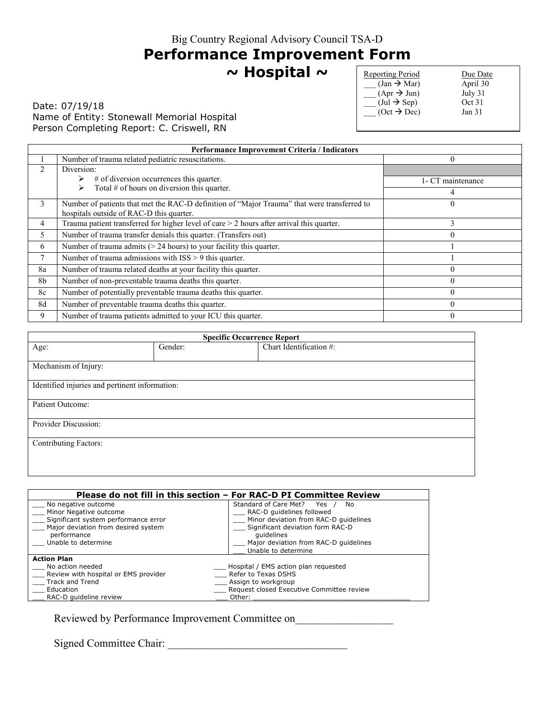## **Performance Improvement Form**

**~ Hospital ~** 

Date: 07/19/18 Name of Entity: Stonewall Memorial Hospital Person Completing Report: C. Criswell, RN

| <b>Reporting Period</b>               | Due Date          |
|---------------------------------------|-------------------|
| $(Jan \rightarrow Mar)$               | April 30          |
| $(Apr \rightarrow Jun)$               | July 31           |
| $(\text{Jul} \rightarrow \text{Sep})$ | Oct 31            |
| $(Oct \rightarrow Dec)$               | Jan <sub>31</sub> |
|                                       |                   |

| Performance Improvement Criteria / Indicators |                                                                                                                                         |                   |  |
|-----------------------------------------------|-----------------------------------------------------------------------------------------------------------------------------------------|-------------------|--|
|                                               | Number of trauma related pediatric resuscitations.                                                                                      |                   |  |
|                                               | Diversion:                                                                                                                              |                   |  |
|                                               | # of diversion occurrences this quarter.                                                                                                | 1- CT maintenance |  |
|                                               | Total $#$ of hours on diversion this quarter.                                                                                           | 4                 |  |
| 3                                             | Number of patients that met the RAC-D definition of "Major Trauma" that were transferred to<br>hospitals outside of RAC-D this quarter. |                   |  |
| 4                                             | Trauma patient transferred for higher level of care $>$ 2 hours after arrival this quarter.                                             | 3                 |  |
| 5                                             | Number of trauma transfer denials this quarter. (Transfers out)                                                                         | $\Omega$          |  |
| 6                                             | Number of trauma admits $(> 24$ hours) to your facility this quarter.                                                                   |                   |  |
| 7                                             | Number of trauma admissions with ISS > 9 this quarter.                                                                                  |                   |  |
| 8a                                            | Number of trauma related deaths at your facility this quarter.                                                                          | $\Omega$          |  |
| 8 <sub>b</sub>                                | Number of non-preventable trauma deaths this quarter.                                                                                   | $\theta$          |  |
| 8c                                            | Number of potentially preventable trauma deaths this quarter.                                                                           | $\theta$          |  |
| 8d                                            | Number of preventable trauma deaths this quarter.                                                                                       | $\theta$          |  |
| 9                                             | Number of trauma patients admitted to your ICU this quarter.                                                                            | 0                 |  |

| <b>Specific Occurrence Report</b>              |         |                         |  |
|------------------------------------------------|---------|-------------------------|--|
| Age:                                           | Gender: | Chart Identification #: |  |
| Mechanism of Injury:                           |         |                         |  |
|                                                |         |                         |  |
| Identified injuries and pertinent information: |         |                         |  |
| Patient Outcome:                               |         |                         |  |
| Provider Discussion:                           |         |                         |  |
| <b>Contributing Factors:</b>                   |         |                         |  |
|                                                |         |                         |  |

|                                                                                       | Please do not fill in this section – For RAC-D PI Committee Review                                             |
|---------------------------------------------------------------------------------------|----------------------------------------------------------------------------------------------------------------|
| No negative outcome<br>Minor Negative outcome<br>Significant system performance error | Standard of Care Met? Yes<br>No.<br>RAC-D quidelines followed<br>Minor deviation from RAC-D quidelines         |
| Major deviation from desired system<br>performance<br>Unable to determine             | Significant deviation form RAC-D<br>quidelines<br>Major deviation from RAC-D quidelines<br>Unable to determine |
| <b>Action Plan</b>                                                                    |                                                                                                                |
| No action needed                                                                      | Hospital / EMS action plan requested                                                                           |
| Review with hospital or EMS provider                                                  | Refer to Texas DSHS                                                                                            |
| Track and Trend                                                                       | Assign to workgroup                                                                                            |
| Education                                                                             | Request closed Executive Committee review                                                                      |
| RAC-D quideline review                                                                | Other:                                                                                                         |

Reviewed by Performance Improvement Committee on\_\_\_\_\_\_\_\_\_\_\_\_\_\_\_\_\_\_\_\_\_\_\_\_\_\_\_\_\_\_\_\_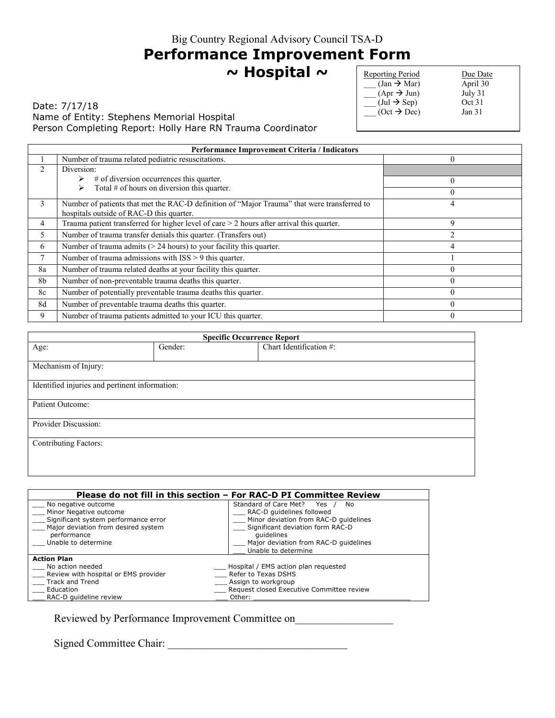# **Performance Improvement Form**

**~ Hospital ~** 

Date: 7/17/18 Name of Entity: Stephens Memorial Hospital Person Completing Report: Holly Hare RN Trauma Coordinator

| <b>Reporting Period</b>               | Due Date          |
|---------------------------------------|-------------------|
| $(Jan \rightarrow Mar)$               | April 30          |
| $(Apr \rightarrow Jun)$               | July 31           |
| $(\text{Jul} \rightarrow \text{Sep})$ | Oct 31            |
| $(Oct \rightarrow Dec)$               | Jan <sub>31</sub> |
|                                       |                   |

| Performance Improvement Criteria / Indicators |                                                                                             |                |
|-----------------------------------------------|---------------------------------------------------------------------------------------------|----------------|
|                                               | Number of trauma related pediatric resuscitations.                                          | $\Omega$       |
| $\mathfrak{D}$                                | Diversion:                                                                                  |                |
|                                               | $#$ of diversion occurrences this quarter.                                                  | $\theta$       |
|                                               | Total $#$ of hours on diversion this quarter.<br>↘                                          | $\Omega$       |
| 3                                             | Number of patients that met the RAC-D definition of "Major Trauma" that were transferred to | 4              |
|                                               | hospitals outside of RAC-D this quarter.                                                    |                |
| 4                                             | Trauma patient transferred for higher level of care $>$ 2 hours after arrival this quarter. | 9              |
| 5                                             | Number of trauma transfer denials this quarter. (Transfers out)                             |                |
| 6                                             | Number of trauma admits $(> 24$ hours) to your facility this quarter.                       | $\overline{4}$ |
| $\mathbf{r}$                                  | Number of trauma admissions with ISS > 9 this quarter.                                      |                |
| 8a                                            | Number of trauma related deaths at your facility this quarter.                              | $\Omega$       |
| 8b                                            | Number of non-preventable trauma deaths this quarter.                                       | $\theta$       |
| 8c                                            | Number of potentially preventable trauma deaths this quarter.                               | $\Omega$       |
| 8d                                            | Number of preventable trauma deaths this quarter.                                           | $\Omega$       |
| 9                                             | Number of trauma patients admitted to your ICU this quarter.                                | $\theta$       |

| <b>Specific Occurrence Report</b>              |         |                         |
|------------------------------------------------|---------|-------------------------|
| Age:                                           | Gender: | Chart Identification #: |
|                                                |         |                         |
| Mechanism of Injury:                           |         |                         |
|                                                |         |                         |
| Identified injuries and pertinent information: |         |                         |
| Patient Outcome:                               |         |                         |
|                                                |         |                         |
| Provider Discussion:                           |         |                         |
| <b>Contributing Factors:</b>                   |         |                         |
|                                                |         |                         |
|                                                |         |                         |

|                                      | Please do not fill in this section – For RAC-D PI Committee Review |
|--------------------------------------|--------------------------------------------------------------------|
| No negative outcome                  | Standard of Care Met? Yes<br>No.                                   |
| Minor Negative outcome               | RAC-D quidelines followed                                          |
| Significant system performance error | Minor deviation from RAC-D quidelines                              |
| Major deviation from desired system  | Significant deviation form RAC-D                                   |
| performance                          | quidelines                                                         |
| Unable to determine                  | Major deviation from RAC-D quidelines                              |
|                                      | Unable to determine                                                |
| <b>Action Plan</b>                   |                                                                    |
| No action needed                     | Hospital / EMS action plan requested                               |
| Review with hospital or EMS provider | Refer to Texas DSHS                                                |
| Track and Trend                      | Assign to workgroup                                                |
| Education                            | Request closed Executive Committee review                          |
| RAC-D quideline review               | Other:                                                             |

Reviewed by Performance Improvement Committee on\_\_\_\_\_\_\_\_\_\_\_\_\_\_\_\_\_\_\_\_\_\_\_\_\_\_\_\_\_\_\_\_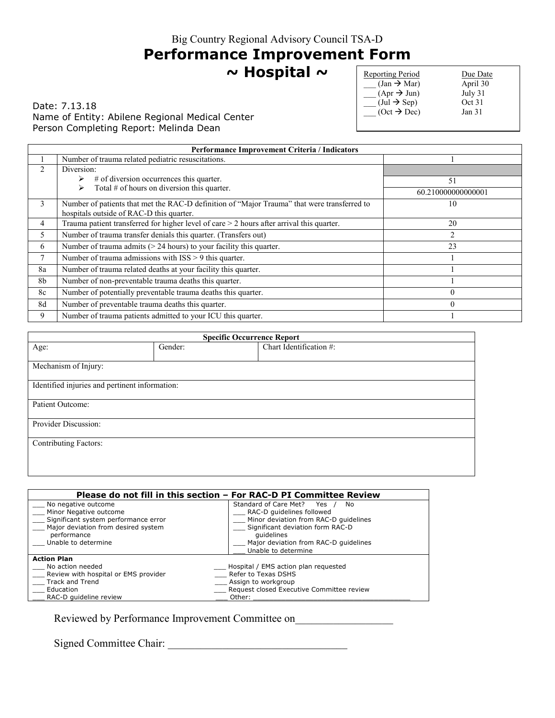### **Performance Improvement Form**

**~ Hospital ~** 

Date: 7.13.18 Name of Entity: Abilene Regional Medical Center Person Completing Report: Melinda Dean

| <b>Reporting Period</b>               | Due Date          |
|---------------------------------------|-------------------|
| $(Jan \rightarrow Mar)$               | April 30          |
| $(Apr \rightarrow Jun)$               | July 31           |
| $(\text{Jul} \rightarrow \text{Sep})$ | Oct 31            |
| $(Oct \rightarrow Dec)$               | Jan <sub>31</sub> |
|                                       |                   |

| Performance Improvement Criteria / Indicators |                                                                                                                                         |                    |
|-----------------------------------------------|-----------------------------------------------------------------------------------------------------------------------------------------|--------------------|
|                                               | Number of trauma related pediatric resuscitations.                                                                                      |                    |
|                                               | Diversion:                                                                                                                              |                    |
|                                               | $#$ of diversion occurrences this quarter.                                                                                              | 51                 |
|                                               | Total $#$ of hours on diversion this quarter.                                                                                           | 60.210000000000001 |
| 3                                             | Number of patients that met the RAC-D definition of "Major Trauma" that were transferred to<br>hospitals outside of RAC-D this quarter. | 10                 |
| 4                                             | Trauma patient transferred for higher level of care $>$ 2 hours after arrival this quarter.                                             | 20                 |
| 5                                             | Number of trauma transfer denials this quarter. (Transfers out)                                                                         | $\overline{c}$     |
| 6                                             | Number of trauma admits $(> 24$ hours) to your facility this quarter.                                                                   | 23                 |
|                                               | Number of trauma admissions with $ISS > 9$ this quarter.                                                                                |                    |
| 8a                                            | Number of trauma related deaths at your facility this quarter.                                                                          |                    |
| 8b                                            | Number of non-preventable trauma deaths this quarter.                                                                                   |                    |
| 8c                                            | Number of potentially preventable trauma deaths this quarter.                                                                           | 0                  |
| 8d                                            | Number of preventable trauma deaths this quarter.                                                                                       | $\Omega$           |
| 9                                             | Number of trauma patients admitted to your ICU this quarter.                                                                            |                    |

| <b>Specific Occurrence Report</b>              |         |                         |  |
|------------------------------------------------|---------|-------------------------|--|
| Age:                                           | Gender: | Chart Identification #: |  |
| Mechanism of Injury:                           |         |                         |  |
| Identified injuries and pertinent information: |         |                         |  |
| Patient Outcome:                               |         |                         |  |
| Provider Discussion:                           |         |                         |  |
| <b>Contributing Factors:</b>                   |         |                         |  |
|                                                |         |                         |  |

| Please do not fill in this section – For RAC-D PI Committee Review |                                           |  |
|--------------------------------------------------------------------|-------------------------------------------|--|
| No negative outcome                                                | Standard of Care Met? Yes<br>No.          |  |
| Minor Negative outcome                                             | RAC-D quidelines followed                 |  |
| Significant system performance error                               | Minor deviation from RAC-D quidelines     |  |
| Major deviation from desired system                                | Significant deviation form RAC-D          |  |
| performance                                                        | quidelines                                |  |
| Unable to determine                                                | Major deviation from RAC-D quidelines     |  |
|                                                                    | Unable to determine                       |  |
| <b>Action Plan</b>                                                 |                                           |  |
| No action needed                                                   | Hospital / EMS action plan requested      |  |
| Review with hospital or EMS provider                               | Refer to Texas DSHS                       |  |
| Track and Trend                                                    | Assign to workgroup                       |  |
| Education                                                          | Request closed Executive Committee review |  |
| RAC-D quideline review                                             | Other:                                    |  |

Reviewed by Performance Improvement Committee on\_\_\_\_\_\_\_\_\_\_\_\_\_\_\_\_\_\_\_\_\_\_\_\_\_\_\_\_\_\_\_\_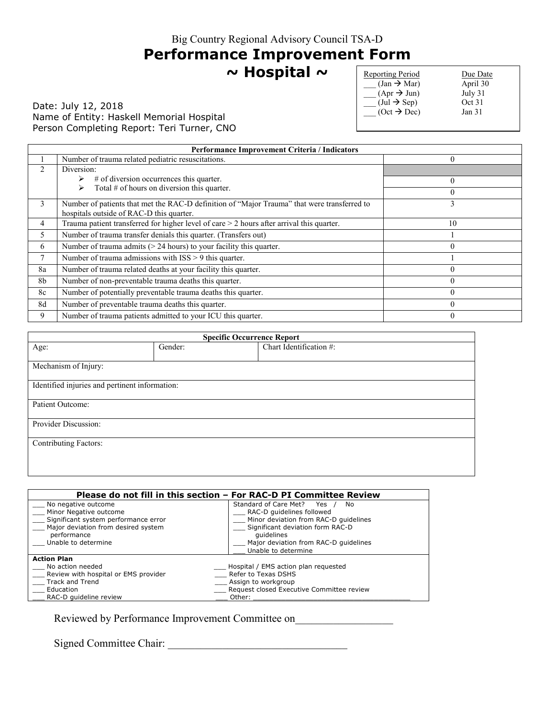# **Performance Improvement Form**

**~ Hospital ~** 

### Date: July 12, 2018 Name of Entity: Haskell Memorial Hospital Person Completing Report: Teri Turner, CNO

| Reporting Period                       | Due Date          |
|----------------------------------------|-------------------|
| $\text{(Jan)} \rightarrow \text{Mar)}$ | April 30          |
| $(Apr \rightarrow Jun)$                | July 31           |
| $(\text{Jul} \rightarrow \text{Sep})$  | Oct 31            |
| $(Oct \rightarrow Dec)$                | Jan <sub>31</sub> |
|                                        |                   |

| <b>Performance Improvement Criteria / Indicators</b> |                                                                                                                                         |                |
|------------------------------------------------------|-----------------------------------------------------------------------------------------------------------------------------------------|----------------|
|                                                      | Number of trauma related pediatric resuscitations.                                                                                      | $\overline{0}$ |
|                                                      | Diversion:                                                                                                                              |                |
|                                                      | # of diversion occurrences this quarter.                                                                                                | $\Omega$       |
|                                                      | Total $#$ of hours on diversion this quarter.                                                                                           | $\theta$       |
| 3                                                    | Number of patients that met the RAC-D definition of "Major Trauma" that were transferred to<br>hospitals outside of RAC-D this quarter. | 3              |
| 4                                                    | Trauma patient transferred for higher level of care $>$ 2 hours after arrival this quarter.                                             | 10             |
|                                                      | Number of trauma transfer denials this quarter. (Transfers out)                                                                         |                |
| 6                                                    | Number of trauma admits $(> 24$ hours) to your facility this quarter.                                                                   |                |
|                                                      | Number of trauma admissions with $ISS > 9$ this quarter.                                                                                |                |
| 8a                                                   | Number of trauma related deaths at your facility this quarter.                                                                          |                |
| 8b                                                   | Number of non-preventable trauma deaths this quarter.                                                                                   |                |
| 8c                                                   | Number of potentially preventable trauma deaths this quarter.                                                                           | $\Omega$       |
| 8d                                                   | Number of preventable trauma deaths this quarter.                                                                                       |                |
| 9                                                    | Number of trauma patients admitted to your ICU this quarter.                                                                            |                |

| <b>Specific Occurrence Report</b>              |         |                         |  |
|------------------------------------------------|---------|-------------------------|--|
| Age:                                           | Gender: | Chart Identification #: |  |
| Mechanism of Injury:                           |         |                         |  |
| Identified injuries and pertinent information: |         |                         |  |
| Patient Outcome:                               |         |                         |  |
| Provider Discussion:                           |         |                         |  |
| <b>Contributing Factors:</b>                   |         |                         |  |
|                                                |         |                         |  |

|                                      | Please do not fill in this section – For RAC-D PI Committee Review |
|--------------------------------------|--------------------------------------------------------------------|
| No negative outcome                  | Standard of Care Met? Yes<br>No.                                   |
| Minor Negative outcome               | RAC-D quidelines followed                                          |
| Significant system performance error | Minor deviation from RAC-D quidelines                              |
| Major deviation from desired system  | Significant deviation form RAC-D                                   |
| performance                          | quidelines                                                         |
| Unable to determine                  | Major deviation from RAC-D quidelines                              |
|                                      | Unable to determine                                                |
| <b>Action Plan</b>                   |                                                                    |
| No action needed                     | Hospital / EMS action plan requested                               |
| Review with hospital or EMS provider | Refer to Texas DSHS                                                |
| Track and Trend                      | Assign to workgroup                                                |
| Education                            | Request closed Executive Committee review                          |
| RAC-D quideline review               | Other:                                                             |

Reviewed by Performance Improvement Committee on\_\_\_\_\_\_\_\_\_\_\_\_\_\_\_\_\_\_\_\_\_\_\_\_\_\_\_\_\_\_\_\_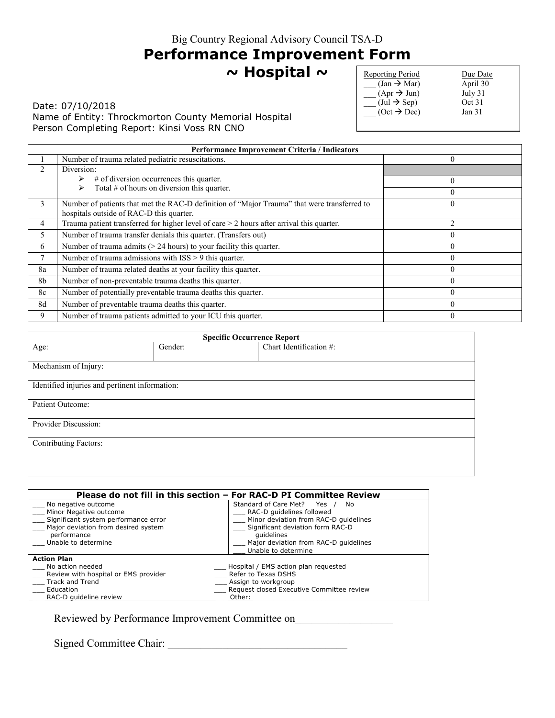# **Performance Improvement Form**

**~ Hospital ~** 

Date: 07/10/2018 Name of Entity: Throckmorton County Memorial Hospital Person Completing Report: Kinsi Voss RN CNO

| <b>Reporting Period</b>               | Due Date          |
|---------------------------------------|-------------------|
| $(Jan \rightarrow Mar)$               | April 30          |
| $(Apr \rightarrow Jun)$               | July 31           |
| $(\text{Jul} \rightarrow \text{Sep})$ | Oct 31            |
| $(Oct \rightarrow Dec)$               | Jan <sub>31</sub> |
|                                       |                   |

|    | <b>Performance Improvement Criteria / Indicators</b>                                                                                    |                |  |
|----|-----------------------------------------------------------------------------------------------------------------------------------------|----------------|--|
|    | Number of trauma related pediatric resuscitations.                                                                                      |                |  |
|    | Diversion:                                                                                                                              |                |  |
|    | $#$ of diversion occurrences this quarter.                                                                                              | $\theta$       |  |
|    | Total $#$ of hours on diversion this quarter.                                                                                           |                |  |
| 3  | Number of patients that met the RAC-D definition of "Major Trauma" that were transferred to<br>hospitals outside of RAC-D this quarter. |                |  |
| 4  | Trauma patient transferred for higher level of care $>$ 2 hours after arrival this quarter.                                             | $\overline{c}$ |  |
| 5. | Number of trauma transfer denials this quarter. (Transfers out)                                                                         | $\Omega$       |  |
| 6  | Number of trauma admits $(> 24$ hours) to your facility this quarter.                                                                   |                |  |
|    | Number of trauma admissions with ISS > 9 this quarter.                                                                                  |                |  |
| 8a | Number of trauma related deaths at your facility this quarter.                                                                          | $\Omega$       |  |
| 8b | Number of non-preventable trauma deaths this quarter.                                                                                   |                |  |
| 8c | Number of potentially preventable trauma deaths this quarter.                                                                           |                |  |
| 8d | Number of preventable trauma deaths this quarter.                                                                                       | 0              |  |
| 9  | Number of trauma patients admitted to your ICU this quarter.                                                                            |                |  |

| <b>Specific Occurrence Report</b>              |         |                         |
|------------------------------------------------|---------|-------------------------|
| Age:                                           | Gender: | Chart Identification #: |
| Mechanism of Injury:                           |         |                         |
| Identified injuries and pertinent information: |         |                         |
| Patient Outcome:                               |         |                         |
| Provider Discussion:                           |         |                         |
| <b>Contributing Factors:</b>                   |         |                         |
|                                                |         |                         |

| Please do not fill in this section – For RAC-D PI Committee Review |                                           |  |
|--------------------------------------------------------------------|-------------------------------------------|--|
| No negative outcome                                                | Standard of Care Met? Yes<br>No.          |  |
| Minor Negative outcome                                             | RAC-D quidelines followed                 |  |
| Significant system performance error                               | Minor deviation from RAC-D quidelines     |  |
| Major deviation from desired system                                | Significant deviation form RAC-D          |  |
| performance                                                        | quidelines                                |  |
| Unable to determine                                                | Major deviation from RAC-D quidelines     |  |
|                                                                    | Unable to determine                       |  |
| <b>Action Plan</b>                                                 |                                           |  |
| No action needed                                                   | Hospital / EMS action plan requested      |  |
| Review with hospital or EMS provider                               | Refer to Texas DSHS                       |  |
| Track and Trend                                                    | Assign to workgroup                       |  |
| Education                                                          | Request closed Executive Committee review |  |
| RAC-D quideline review                                             | Other:                                    |  |

Reviewed by Performance Improvement Committee on\_\_\_\_\_\_\_\_\_\_\_\_\_\_\_\_\_\_\_\_\_\_\_\_\_\_\_\_\_\_\_\_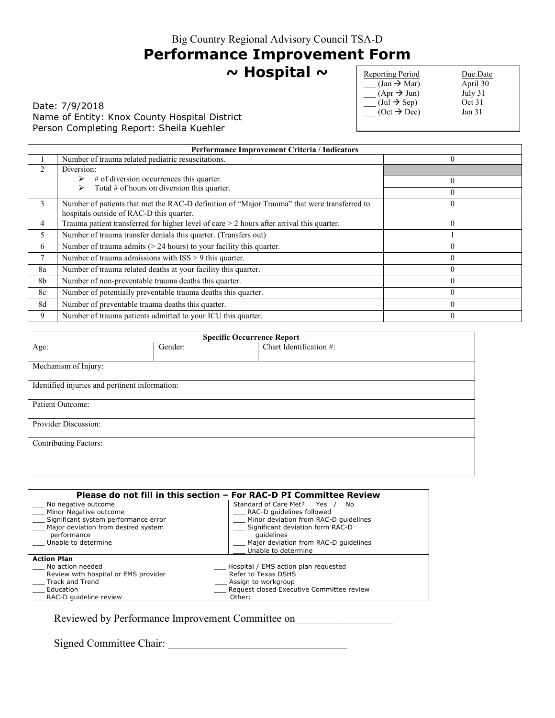# **Performance Improvement Form**

**~ Hospital ~** 

Date: 7/9/2018 Name of Entity: Knox County Hospital District Person Completing Report: Sheila Kuehler

| <b>Reporting Period</b>               | Due Date          |
|---------------------------------------|-------------------|
| $\text{(Jan} \rightarrow \text{Mar})$ | April 30          |
| $(Apr \rightarrow Jun)$               | July 31           |
| $(\text{Jul} \rightarrow \text{Sep})$ | Oct 31            |
| $(Oct \rightarrow Dec)$               | Jan <sub>31</sub> |
|                                       |                   |

|                | Performance Improvement Criteria / Indicators                                               |          |  |
|----------------|---------------------------------------------------------------------------------------------|----------|--|
|                | Number of trauma related pediatric resuscitations.                                          | $\theta$ |  |
| $\mathfrak{D}$ | Diversion:                                                                                  |          |  |
|                | $#$ of diversion occurrences this quarter.                                                  | $\theta$ |  |
|                | Total $#$ of hours on diversion this quarter.                                               | $\theta$ |  |
| 3              | Number of patients that met the RAC-D definition of "Major Trauma" that were transferred to |          |  |
|                | hospitals outside of RAC-D this quarter.                                                    |          |  |
| 4              | Trauma patient transferred for higher level of care $>$ 2 hours after arrival this quarter. | $\theta$ |  |
| 5              | Number of trauma transfer denials this quarter. (Transfers out)                             |          |  |
| 6              | Number of trauma admits $(> 24$ hours) to your facility this quarter.                       |          |  |
| 7              | Number of trauma admissions with ISS > 9 this quarter.                                      | 0        |  |
| 8a             | Number of trauma related deaths at your facility this quarter.                              | $\theta$ |  |
| 8 <sub>b</sub> | Number of non-preventable trauma deaths this quarter.                                       |          |  |
| 8c             | Number of potentially preventable trauma deaths this quarter.                               | 0        |  |
| 8d             | Number of preventable trauma deaths this quarter.                                           | $\theta$ |  |
| 9              | Number of trauma patients admitted to your ICU this quarter.                                | $\Omega$ |  |

| <b>Specific Occurrence Report</b>              |         |                         |  |
|------------------------------------------------|---------|-------------------------|--|
| Age:                                           | Gender: | Chart Identification #: |  |
| Mechanism of Injury:                           |         |                         |  |
| Identified injuries and pertinent information: |         |                         |  |
| Patient Outcome:                               |         |                         |  |
| Provider Discussion:                           |         |                         |  |
| <b>Contributing Factors:</b>                   |         |                         |  |
|                                                |         |                         |  |

|                                                    | Please do not fill in this section – For RAC-D PI Committee Review |
|----------------------------------------------------|--------------------------------------------------------------------|
| No negative outcome<br>Minor Negative outcome      | Standard of Care Met? Yes<br>No.<br>RAC-D guidelines followed      |
| Significant system performance error               | Minor deviation from RAC-D quidelines                              |
| Major deviation from desired system<br>performance | Significant deviation form RAC-D<br>quidelines                     |
| Unable to determine                                | Major deviation from RAC-D quidelines<br>Unable to determine       |
| <b>Action Plan</b>                                 |                                                                    |
| No action needed                                   | Hospital / EMS action plan requested                               |
| Review with hospital or EMS provider               | Refer to Texas DSHS                                                |
| Track and Trend                                    | Assign to workgroup                                                |
| Education                                          | Request closed Executive Committee review                          |
| RAC-D quideline review                             | Other:                                                             |

Reviewed by Performance Improvement Committee on\_\_\_\_\_\_\_\_\_\_\_\_\_\_\_\_\_\_\_\_\_\_\_\_\_\_\_\_\_\_\_\_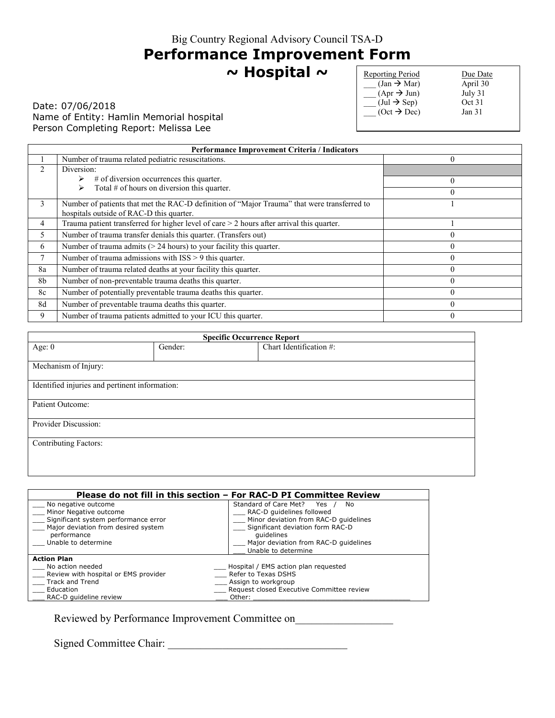# **Performance Improvement Form**

**~ Hospital ~** 

Date: 07/06/2018 Name of Entity: Hamlin Memorial hospital Person Completing Report: Melissa Lee

| Reporting Period                      | Due Date          |
|---------------------------------------|-------------------|
| $\text{(Jan} \rightarrow \text{Mar})$ | April 30          |
| $(Apr \rightarrow Jun)$               | July 31           |
| $(\text{Jul} \rightarrow \text{Sep})$ | Oct 31            |
| $(Oct \rightarrow Dec)$               | Jan <sub>31</sub> |
|                                       |                   |

|    | <b>Performance Improvement Criteria / Indicators</b>                                                                                    |          |
|----|-----------------------------------------------------------------------------------------------------------------------------------------|----------|
|    | Number of trauma related pediatric resuscitations.                                                                                      |          |
|    | Diversion:                                                                                                                              |          |
|    | $#$ of diversion occurrences this quarter.                                                                                              | $\theta$ |
|    | Total $#$ of hours on diversion this quarter.                                                                                           | $\Omega$ |
| 3  | Number of patients that met the RAC-D definition of "Major Trauma" that were transferred to<br>hospitals outside of RAC-D this quarter. |          |
| 4  | Trauma patient transferred for higher level of care $>$ 2 hours after arrival this quarter.                                             |          |
| 5  | Number of trauma transfer denials this quarter. (Transfers out)                                                                         | $\theta$ |
| 6  | Number of trauma admits $(> 24$ hours) to your facility this quarter.                                                                   | $\theta$ |
|    | Number of trauma admissions with ISS > 9 this quarter.                                                                                  | $\theta$ |
| 8a | Number of trauma related deaths at your facility this quarter.                                                                          | $\Omega$ |
| 8b | Number of non-preventable trauma deaths this quarter.                                                                                   | $\Omega$ |
| 8c | Number of potentially preventable trauma deaths this quarter.                                                                           | $\Omega$ |
| 8d | Number of preventable trauma deaths this quarter.                                                                                       |          |
| 9  | Number of trauma patients admitted to your ICU this quarter.                                                                            |          |

| <b>Specific Occurrence Report</b>              |         |                         |
|------------------------------------------------|---------|-------------------------|
| Age: $0$                                       | Gender: | Chart Identification #: |
|                                                |         |                         |
| Mechanism of Injury:                           |         |                         |
| Identified injuries and pertinent information: |         |                         |
| Patient Outcome:                               |         |                         |
| Provider Discussion:                           |         |                         |
| <b>Contributing Factors:</b>                   |         |                         |
|                                                |         |                         |

| Please do not fill in this section – For RAC-D PI Committee Review                                                                                                 |                                                                                                                                                                                                                         |  |
|--------------------------------------------------------------------------------------------------------------------------------------------------------------------|-------------------------------------------------------------------------------------------------------------------------------------------------------------------------------------------------------------------------|--|
| No negative outcome<br>Minor Negative outcome<br>Significant system performance error<br>Major deviation from desired system<br>performance<br>Unable to determine | Standard of Care Met? Yes<br>No<br>RAC-D quidelines followed<br>Minor deviation from RAC-D quidelines<br>Significant deviation form RAC-D<br>quidelines<br>Major deviation from RAC-D quidelines<br>Unable to determine |  |
| <b>Action Plan</b>                                                                                                                                                 |                                                                                                                                                                                                                         |  |
| No action needed                                                                                                                                                   | _ Hospital / EMS action plan requested                                                                                                                                                                                  |  |
| Review with hospital or EMS provider                                                                                                                               | Refer to Texas DSHS                                                                                                                                                                                                     |  |
| Track and Trend                                                                                                                                                    | Assign to workgroup                                                                                                                                                                                                     |  |
| Education                                                                                                                                                          | Request closed Executive Committee review                                                                                                                                                                               |  |
| RAC-D quideline review                                                                                                                                             | Other:                                                                                                                                                                                                                  |  |

Reviewed by Performance Improvement Committee on\_\_\_\_\_\_\_\_\_\_\_\_\_\_\_\_\_\_\_\_\_\_\_\_\_\_\_\_\_\_\_\_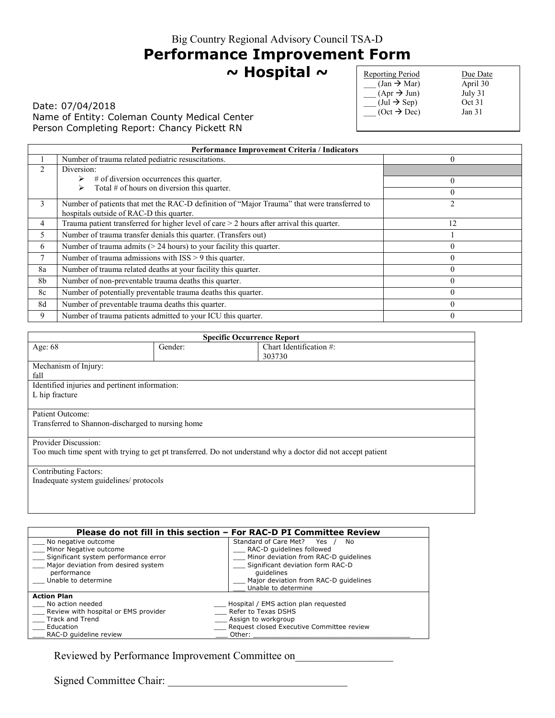# **Performance Improvement Form**

**~ Hospital ~** 

### Date: 07/04/2018 Name of Entity: Coleman County Medical Center Person Completing Report: Chancy Pickett RN

| <b>Reporting Period</b>               | Due Date          |
|---------------------------------------|-------------------|
| $\text{(Jan} \rightarrow \text{Mar})$ | April 30          |
| $(Apr \rightarrow Jun)$               | July 31           |
| $(\text{Jul} \rightarrow \text{Sep})$ | Oct 31            |
| $(Oct \rightarrow Dec)$               | Jan <sub>31</sub> |
|                                       |                   |

|                | Performance Improvement Criteria / Indicators                                                                                           |                |  |
|----------------|-----------------------------------------------------------------------------------------------------------------------------------------|----------------|--|
|                | Number of trauma related pediatric resuscitations.                                                                                      | $\Omega$       |  |
| 2              | Diversion:                                                                                                                              |                |  |
|                | $#$ of diversion occurrences this quarter.                                                                                              | $\mathbf{0}$   |  |
|                | Total $#$ of hours on diversion this quarter.                                                                                           | $\theta$       |  |
| 3              | Number of patients that met the RAC-D definition of "Major Trauma" that were transferred to<br>hospitals outside of RAC-D this quarter. | $\overline{2}$ |  |
| 4              | Trauma patient transferred for higher level of care $>$ 2 hours after arrival this quarter.                                             | 12             |  |
| 5              | Number of trauma transfer denials this quarter. (Transfers out)                                                                         |                |  |
| 6              | Number of trauma admits $(> 24$ hours) to your facility this quarter.                                                                   | 0              |  |
| $\tau$         | Number of trauma admissions with ISS > 9 this quarter.                                                                                  | 0              |  |
| 8a             | Number of trauma related deaths at your facility this quarter.                                                                          | $\Omega$       |  |
| 8 <sub>b</sub> | Number of non-preventable trauma deaths this quarter.                                                                                   |                |  |
| 8c             | Number of potentially preventable trauma deaths this quarter.                                                                           | $\Omega$       |  |
| 8d             | Number of preventable trauma deaths this quarter.                                                                                       | 0              |  |
| 9              | Number of trauma patients admitted to your ICU this quarter.                                                                            |                |  |

| <b>Specific Occurrence Report</b>              |                                                   |                                                                                                              |
|------------------------------------------------|---------------------------------------------------|--------------------------------------------------------------------------------------------------------------|
| Age: 68                                        | Gender:                                           | Chart Identification #:                                                                                      |
|                                                |                                                   | 303730                                                                                                       |
| Mechanism of Injury:                           |                                                   |                                                                                                              |
| fall                                           |                                                   |                                                                                                              |
| Identified injuries and pertinent information: |                                                   |                                                                                                              |
| L hip fracture                                 |                                                   |                                                                                                              |
|                                                |                                                   |                                                                                                              |
| Patient Outcome:                               |                                                   |                                                                                                              |
|                                                | Transferred to Shannon-discharged to nursing home |                                                                                                              |
|                                                |                                                   |                                                                                                              |
| Provider Discussion:                           |                                                   |                                                                                                              |
|                                                |                                                   | Too much time spent with trying to get pt transferred. Do not understand why a doctor did not accept patient |
|                                                |                                                   |                                                                                                              |
| <b>Contributing Factors:</b>                   |                                                   |                                                                                                              |
| Inadequate system guidelines/ protocols        |                                                   |                                                                                                              |
|                                                |                                                   |                                                                                                              |
|                                                |                                                   |                                                                                                              |

| Please do not fill in this section – For RAC-D PI Committee Review |                                           |  |
|--------------------------------------------------------------------|-------------------------------------------|--|
| No negative outcome                                                | Standard of Care Met? Yes<br>No           |  |
| Minor Negative outcome                                             | RAC-D quidelines followed                 |  |
| Significant system performance error                               | Minor deviation from RAC-D quidelines     |  |
| Major deviation from desired system                                | Significant deviation form RAC-D          |  |
| performance                                                        | quidelines                                |  |
| Unable to determine                                                | Major deviation from RAC-D quidelines     |  |
|                                                                    | Unable to determine                       |  |
| <b>Action Plan</b>                                                 |                                           |  |
| No action needed                                                   | Hospital / EMS action plan requested      |  |
| Review with hospital or EMS provider                               | Refer to Texas DSHS                       |  |
| Track and Trend                                                    | Assign to workgroup                       |  |
| Education                                                          | Request closed Executive Committee review |  |
| RAC-D quideline review                                             | Other:                                    |  |

Reviewed by Performance Improvement Committee on